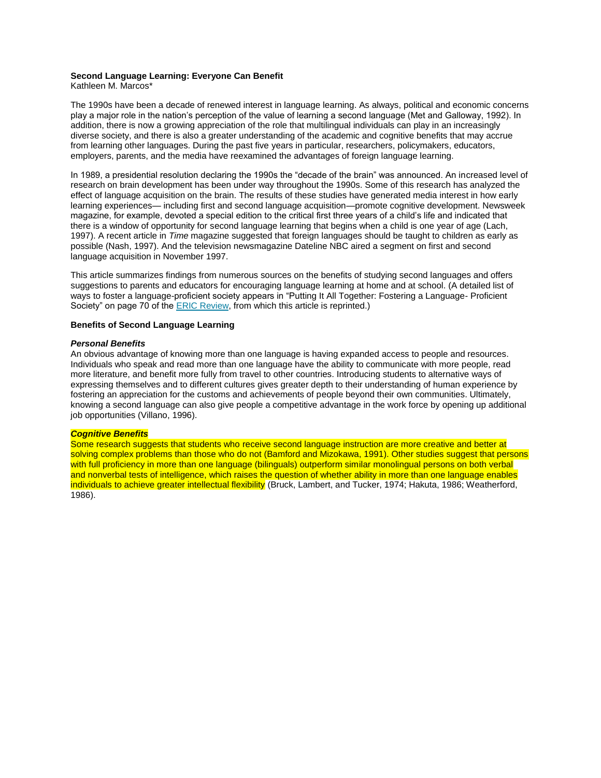# **Second Language Learning: Everyone Can Benefit**

Kathleen M. Marcos\*

The 1990s have been a decade of renewed interest in language learning. As always, political and economic concerns play a major role in the nation's perception of the value of learning a second language (Met and Galloway, 1992). In addition, there is now a growing appreciation of the role that multilingual individuals can play in an increasingly diverse society, and there is also a greater understanding of the academic and cognitive benefits that may accrue from learning other languages. During the past five years in particular, researchers, policymakers, educators, employers, parents, and the media have reexamined the advantages of foreign language learning.

In 1989, a presidential resolution declaring the 1990s the "decade of the brain" was announced. An increased level of research on brain development has been under way throughout the 1990s. Some of this research has analyzed the effect of language acquisition on the brain. The results of these studies have generated media interest in how early learning experiences— including first and second language acquisition—promote cognitive development. Newsweek magazine, for example, devoted a special edition to the critical first three years of a child's life and indicated that there is a window of opportunity for second language learning that begins when a child is one year of age (Lach, 1997). A recent article in *Time* magazine suggested that foreign languages should be taught to children as early as possible (Nash, 1997). And the television newsmagazine Dateline NBC aired a segment on first and second language acquisition in November 1997.

This article summarizes findings from numerous sources on the benefits of studying second languages and offers suggestions to parents and educators for encouraging language learning at home and at school. (A detailed list of ways to foster a language-proficient society appears in "Putting It All Together: Fostering a Language- Proficient Society" on page 70 of the [ERIC Review,](http://www.cal.org/resources/ericreview.pdf) from which this article is reprinted.)

# **Benefits of Second Language Learning**

## *Personal Benefits*

An obvious advantage of knowing more than one language is having expanded access to people and resources. Individuals who speak and read more than one language have the ability to communicate with more people, read more literature, and benefit more fully from travel to other countries. Introducing students to alternative ways of expressing themselves and to different cultures gives greater depth to their understanding of human experience by fostering an appreciation for the customs and achievements of people beyond their own communities. Ultimately, knowing a second language can also give people a competitive advantage in the work force by opening up additional job opportunities (Villano, 1996).

## *Cognitive Benefits*

Some research suggests that students who receive second language instruction are more creative and better at solving complex problems than those who do not (Bamford and Mizokawa, 1991). Other studies suggest that persons with full proficiency in more than one language (bilinguals) outperform similar monolingual persons on both verbal and nonverbal tests of intelligence, which raises the question of whether ability in more than one language enables individuals to achieve greater intellectual flexibility (Bruck, Lambert, and Tucker, 1974; Hakuta, 1986; Weatherford, 1986).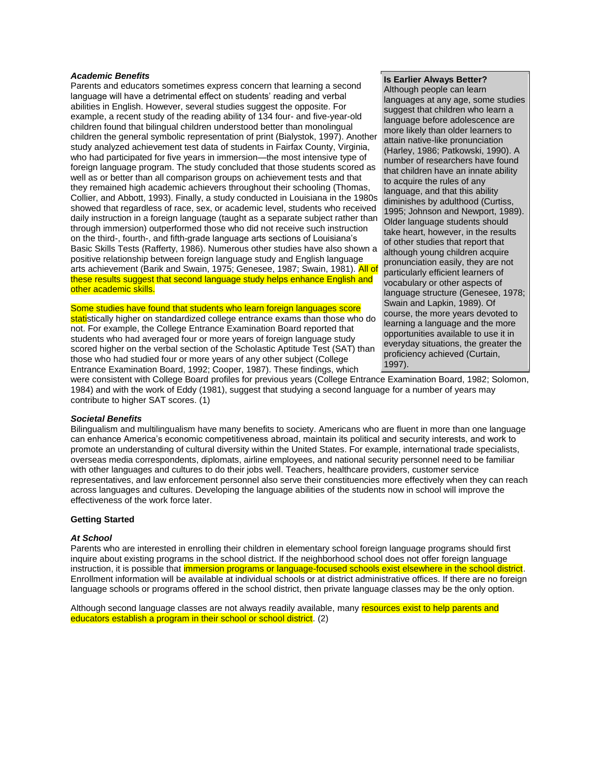## *Academic Benefits*

Parents and educators sometimes express concern that learning a second language will have a detrimental effect on students' reading and verbal abilities in English. However, several studies suggest the opposite. For example, a recent study of the reading ability of 134 four- and five-year-old children found that bilingual children understood better than monolingual children the general symbolic representation of print (Bialystok, 1997). Another study analyzed achievement test data of students in Fairfax County, Virginia, who had participated for five years in immersion—the most intensive type of foreign language program. The study concluded that those students scored as well as or better than all comparison groups on achievement tests and that they remained high academic achievers throughout their schooling (Thomas, Collier, and Abbott, 1993). Finally, a study conducted in Louisiana in the 1980s showed that regardless of race, sex, or academic level, students who received daily instruction in a foreign language (taught as a separate subject rather than through immersion) outperformed those who did not receive such instruction on the third-, fourth-, and fifth-grade language arts sections of Louisiana's Basic Skills Tests (Rafferty, 1986). Numerous other studies have also shown a positive relationship between foreign language study and English language arts achievement (Barik and Swain, 1975; Genesee, 1987; Swain, 1981). All of these results suggest that second language study helps enhance English and other academic skills.

Some studies have found that students who learn foreign languages score statistically higher on standardized college entrance exams than those who do not. For example, the College Entrance Examination Board reported that students who had averaged four or more years of foreign language study scored higher on the verbal section of the Scholastic Aptitude Test (SAT) than those who had studied four or more years of any other subject (College Entrance Examination Board, 1992; Cooper, 1987). These findings, which

# **Is Earlier Always Better?**

Although people can learn languages at any age, some studies suggest that children who learn a language before adolescence are more likely than older learners to attain native-like pronunciation (Harley, 1986; Patkowski, 1990). A number of researchers have found that children have an innate ability to acquire the rules of any language, and that this ability diminishes by adulthood (Curtiss, 1995; Johnson and Newport, 1989). Older language students should take heart, however, in the results of other studies that report that although young children acquire pronunciation easily, they are not particularly efficient learners of vocabulary or other aspects of language structure (Genesee, 1978; Swain and Lapkin, 1989). Of course, the more years devoted to learning a language and the more opportunities available to use it in everyday situations, the greater the proficiency achieved (Curtain, 1997).

were consistent with College Board profiles for previous years (College Entrance Examination Board, 1982; Solomon, 1984) and with the work of Eddy (1981), suggest that studying a second language for a number of years may contribute to higher SAT scores. (1)

## *Societal Benefits*

Bilingualism and multilingualism have many benefits to society. Americans who are fluent in more than one language can enhance America's economic competitiveness abroad, maintain its political and security interests, and work to promote an understanding of cultural diversity within the United States. For example, international trade specialists, overseas media correspondents, diplomats, airline employees, and national security personnel need to be familiar with other languages and cultures to do their jobs well. Teachers, healthcare providers, customer service representatives, and law enforcement personnel also serve their constituencies more effectively when they can reach across languages and cultures. Developing the language abilities of the students now in school will improve the effectiveness of the work force later.

#### **Getting Started**

#### *At School*

Parents who are interested in enrolling their children in elementary school foreign language programs should first inquire about existing programs in the school district. If the neighborhood school does not offer foreign language instruction, it is possible that *immersion programs or language-focused schools exist elsewhere in the school district*. Enrollment information will be available at individual schools or at district administrative offices. If there are no foreign language schools or programs offered in the school district, then private language classes may be the only option.

Although second language classes are not always readily available, many resources exist to help parents and educators establish a program in their school or school district. (2)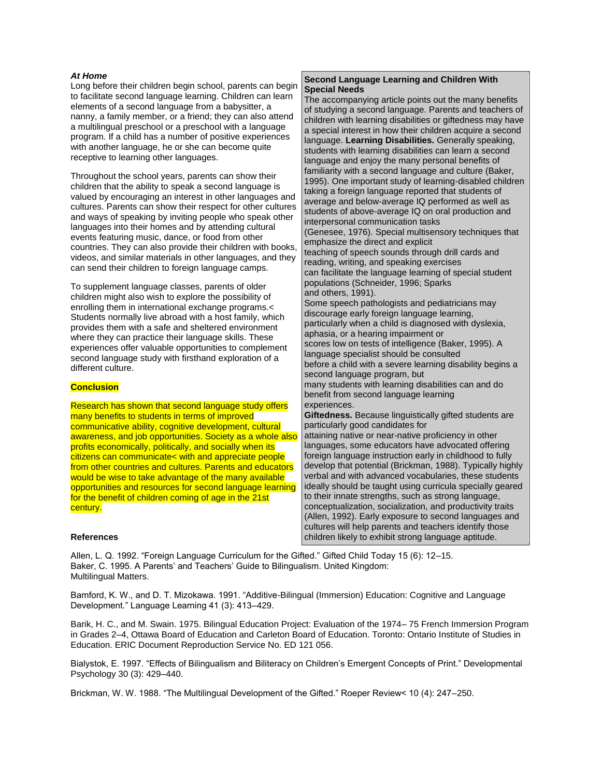# *At Home*

Long before their children begin school, parents can begin to facilitate second language learning. Children can learn elements of a second language from a babysitter, a nanny, a family member, or a friend; they can also attend a multilingual preschool or a preschool with a language program. If a child has a number of positive experiences with another language, he or she can become quite receptive to learning other languages.

Throughout the school years, parents can show their children that the ability to speak a second language is valued by encouraging an interest in other languages and cultures. Parents can show their respect for other cultures and ways of speaking by inviting people who speak other languages into their homes and by attending cultural events featuring music, dance, or food from other countries. They can also provide their children with books, videos, and similar materials in other languages, and they can send their children to foreign language camps.

To supplement language classes, parents of older children might also wish to explore the possibility of enrolling them in international exchange programs.< Students normally live abroad with a host family, which provides them with a safe and sheltered environment where they can practice their language skills. These experiences offer valuable opportunities to complement second language study with firsthand exploration of a different culture.

# **Conclusion**

Research has shown that second language study offers many benefits to students in terms of improved communicative ability, cognitive development, cultural awareness, and job opportunities. Society as a whole also profits economically, politically, and socially when its citizens can communicate< with and appreciate people from other countries and cultures. Parents and educators would be wise to take advantage of the many available opportunities and resources for second language learning for the benefit of children coming of age in the 21st century.

# **Second Language Learning and Children With Special Needs**

The accompanying article points out the many benefits of studying a second language. Parents and teachers of children with learning disabilities or giftedness may have a special interest in how their children acquire a second language. **Learning Disabilities.** Generally speaking, students with learning disabilities can learn a second language and enjoy the many personal benefits of familiarity with a second language and culture (Baker, 1995). One important study of learning-disabled children taking a foreign language reported that students of average and below-average IQ performed as well as students of above-average IQ on oral production and interpersonal communication tasks (Genesee, 1976). Special multisensory techniques that emphasize the direct and explicit teaching of speech sounds through drill cards and reading, writing, and speaking exercises can facilitate the language learning of special student populations (Schneider, 1996; Sparks and others, 1991). Some speech pathologists and pediatricians may discourage early foreign language learning, particularly when a child is diagnosed with dyslexia, aphasia, or a hearing impairment or scores low on tests of intelligence (Baker, 1995). A language specialist should be consulted before a child with a severe learning disability begins a second language program, but many students with learning disabilities can and do benefit from second language learning experiences. **Giftedness.** Because linguistically gifted students are particularly good candidates for attaining native or near-native proficiency in other languages, some educators have advocated offering foreign language instruction early in childhood to fully develop that potential (Brickman, 1988). Typically highly verbal and with advanced vocabularies, these students ideally should be taught using curricula specially geared to their innate strengths, such as strong language, conceptualization, socialization, and productivity traits (Allen, 1992). Early exposure to second languages and cultures will help parents and teachers identify those

children likely to exhibit strong language aptitude.

# **References**

Allen, L. Q. 1992. "Foreign Language Curriculum for the Gifted." Gifted Child Today 15 (6): 12–15. Baker, C. 1995. A Parents' and Teachers' Guide to Bilingualism. United Kingdom: Multilingual Matters.

Bamford, K. W., and D. T. Mizokawa. 1991. "Additive-Bilingual (Immersion) Education: Cognitive and Language Development." Language Learning 41 (3): 413–429.

Barik, H. C., and M. Swain. 1975. Bilingual Education Project: Evaluation of the 1974– 75 French Immersion Program in Grades 2–4, Ottawa Board of Education and Carleton Board of Education. Toronto: Ontario Institute of Studies in Education. ERIC Document Reproduction Service No. ED 121 056.

Bialystok, E. 1997. "Effects of Bilingualism and Biliteracy on Children's Emergent Concepts of Print." Developmental Psychology 30 (3): 429–440.

Brickman, W. W. 1988. "The Multilingual Development of the Gifted." Roeper Review< 10 (4): 247–250.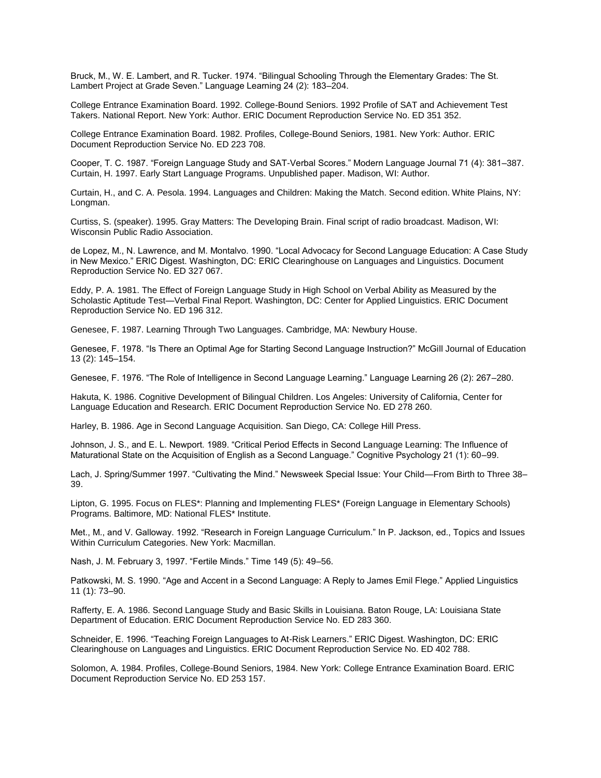Bruck, M., W. E. Lambert, and R. Tucker. 1974. "Bilingual Schooling Through the Elementary Grades: The St. Lambert Project at Grade Seven." Language Learning 24 (2): 183–204.

College Entrance Examination Board. 1992. College-Bound Seniors. 1992 Profile of SAT and Achievement Test Takers. National Report. New York: Author. ERIC Document Reproduction Service No. ED 351 352.

College Entrance Examination Board. 1982. Profiles, College-Bound Seniors, 1981. New York: Author. ERIC Document Reproduction Service No. ED 223 708.

Cooper, T. C. 1987. "Foreign Language Study and SAT-Verbal Scores." Modern Language Journal 71 (4): 381–387. Curtain, H. 1997. Early Start Language Programs. Unpublished paper. Madison, WI: Author.

Curtain, H., and C. A. Pesola. 1994. Languages and Children: Making the Match. Second edition. White Plains, NY: Longman.

Curtiss, S. (speaker). 1995. Gray Matters: The Developing Brain. Final script of radio broadcast. Madison, WI: Wisconsin Public Radio Association.

de Lopez, M., N. Lawrence, and M. Montalvo. 1990. "Local Advocacy for Second Language Education: A Case Study in New Mexico." ERIC Digest. Washington, DC: ERIC Clearinghouse on Languages and Linguistics. Document Reproduction Service No. ED 327 067.

Eddy, P. A. 1981. The Effect of Foreign Language Study in High School on Verbal Ability as Measured by the Scholastic Aptitude Test—Verbal Final Report. Washington, DC: Center for Applied Linguistics. ERIC Document Reproduction Service No. ED 196 312.

Genesee, F. 1987. Learning Through Two Languages. Cambridge, MA: Newbury House.

Genesee, F. 1978. "Is There an Optimal Age for Starting Second Language Instruction?" McGill Journal of Education 13 (2): 145–154.

Genesee, F. 1976. "The Role of Intelligence in Second Language Learning." Language Learning 26 (2): 267–280.

Hakuta, K. 1986. Cognitive Development of Bilingual Children. Los Angeles: University of California, Center for Language Education and Research. ERIC Document Reproduction Service No. ED 278 260.

Harley, B. 1986. Age in Second Language Acquisition. San Diego, CA: College Hill Press.

Johnson, J. S., and E. L. Newport. 1989. "Critical Period Effects in Second Language Learning: The Influence of Maturational State on the Acquisition of English as a Second Language." Cognitive Psychology 21 (1): 60–99.

Lach, J. Spring/Summer 1997. "Cultivating the Mind." Newsweek Special Issue: Your Child—From Birth to Three 38– 39.

Lipton, G. 1995. Focus on FLES\*: Planning and Implementing FLES\* (Foreign Language in Elementary Schools) Programs. Baltimore, MD: National FLES\* Institute.

Met., M., and V. Galloway. 1992. "Research in Foreign Language Curriculum." In P. Jackson, ed., Topics and Issues Within Curriculum Categories. New York: Macmillan.

Nash, J. M. February 3, 1997. "Fertile Minds." Time 149 (5): 49–56.

Patkowski, M. S. 1990. "Age and Accent in a Second Language: A Reply to James Emil Flege." Applied Linguistics 11 (1): 73–90.

Rafferty, E. A. 1986. Second Language Study and Basic Skills in Louisiana. Baton Rouge, LA: Louisiana State Department of Education. ERIC Document Reproduction Service No. ED 283 360.

Schneider, E. 1996. "Teaching Foreign Languages to At-Risk Learners." ERIC Digest. Washington, DC: ERIC Clearinghouse on Languages and Linguistics. ERIC Document Reproduction Service No. ED 402 788.

Solomon, A. 1984. Profiles, College-Bound Seniors, 1984. New York: College Entrance Examination Board. ERIC Document Reproduction Service No. ED 253 157.